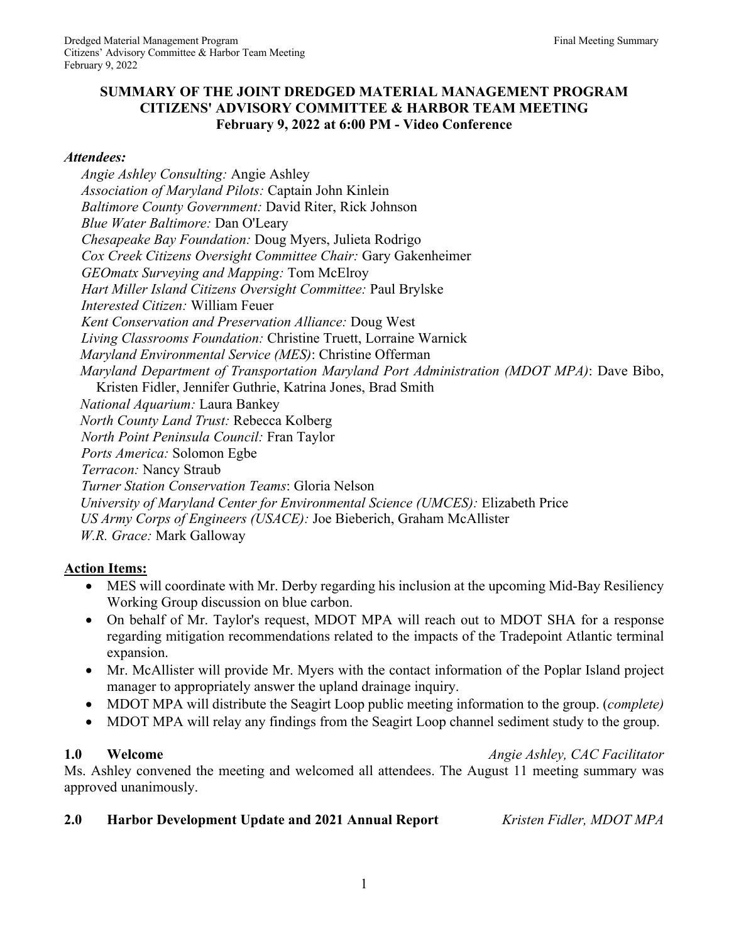## **SUMMARY OF THE JOINT DREDGED MATERIAL MANAGEMENT PROGRAM CITIZENS' ADVISORY COMMITTEE & HARBOR TEAM MEETING February 9, 2022 at 6:00 PM - Video Conference**

### *Attendees:*

*Angie Ashley Consulting:* Angie Ashley *Association of Maryland Pilots:* Captain John Kinlein *Baltimore County Government:* David Riter, Rick Johnson *Blue Water Baltimore:* Dan O'Leary *Chesapeake Bay Foundation:* Doug Myers, Julieta Rodrigo *Cox Creek Citizens Oversight Committee Chair:* Gary Gakenheimer *GEOmatx Surveying and Mapping:* Tom McElroy *Hart Miller Island Citizens Oversight Committee:* Paul Brylske *Interested Citizen:* William Feuer *Kent Conservation and Preservation Alliance:* Doug West *Living Classrooms Foundation:* Christine Truett, Lorraine Warnick *Maryland Environmental Service (MES)*: Christine Offerman *Maryland Department of Transportation Maryland Port Administration (MDOT MPA)*: Dave Bibo, Kristen Fidler, Jennifer Guthrie, Katrina Jones, Brad Smith *National Aquarium:* Laura Bankey *North County Land Trust:* Rebecca Kolberg *North Point Peninsula Council:* Fran Taylor *Ports America:* Solomon Egbe *Terracon:* Nancy Straub *Turner Station Conservation Teams*: Gloria Nelson *University of Maryland Center for Environmental Science (UMCES):* Elizabeth Price *US Army Corps of Engineers (USACE):* Joe Bieberich, Graham McAllister *W.R. Grace:* Mark Galloway

## **Action Items:**

- MES will coordinate with Mr. Derby regarding his inclusion at the upcoming Mid-Bay Resiliency Working Group discussion on blue carbon.
- On behalf of Mr. Taylor's request, MDOT MPA will reach out to MDOT SHA for a response regarding mitigation recommendations related to the impacts of the Tradepoint Atlantic terminal expansion.
- Mr. McAllister will provide Mr. Myers with the contact information of the Poplar Island project manager to appropriately answer the upland drainage inquiry.
- MDOT MPA will distribute the Seagirt Loop public meeting information to the group. (*complete)*
- MDOT MPA will relay any findings from the Seagirt Loop channel sediment study to the group.

**1.0 Welcome** *Angie Ashley, CAC Facilitator* Ms. Ashley convened the meeting and welcomed all attendees. The August 11 meeting summary was

approved unanimously.

### **2.0 Harbor Development Update and 2021 Annual Report** *Kristen Fidler, MDOT MPA*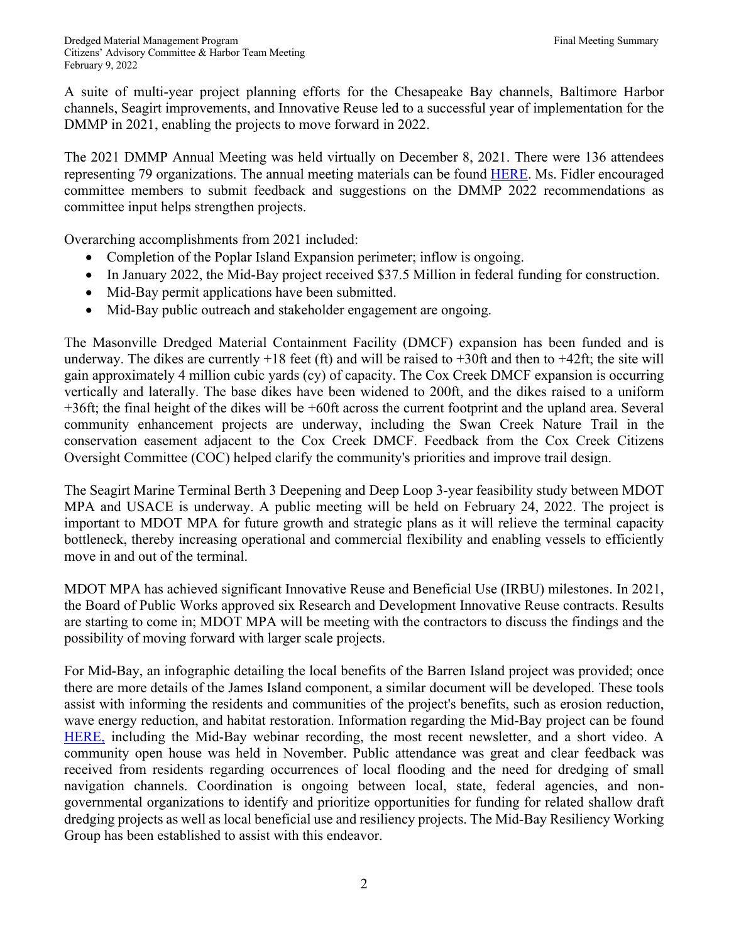A suite of multi-year project planning efforts for the Chesapeake Bay channels, Baltimore Harbor channels, Seagirt improvements, and Innovative Reuse led to a successful year of implementation for the DMMP in 2021, enabling the projects to move forward in 2022.

The 2021 DMMP Annual Meeting was held virtually on December 8, 2021. There were 136 attendees representing 79 organizations. The annual meeting materials can be found HERE. Ms. Fidler encouraged committee members to submit feedback and suggestions on the DMMP 2022 recommendations as committee input helps strengthen projects.

Overarching accomplishments from 2021 included:

- Completion of the Poplar Island Expansion perimeter; inflow is ongoing.
- In January 2022, the Mid-Bay project received \$37.5 Million in federal funding for construction.
- Mid-Bay permit applications have been submitted.
- Mid-Bay public outreach and stakeholder engagement are ongoing.

The Masonville Dredged Material Containment Facility (DMCF) expansion has been funded and is underway. The dikes are currently  $+18$  feet (ft) and will be raised to  $+30$ ft and then to  $+42$ ft; the site will gain approximately 4 million cubic yards (cy) of capacity. The Cox Creek DMCF expansion is occurring vertically and laterally. The base dikes have been widened to 200ft, and the dikes raised to a uniform +36ft; the final height of the dikes will be +60ft across the current footprint and the upland area. Several community enhancement projects are underway, including the Swan Creek Nature Trail in the conservation easement adjacent to the Cox Creek DMCF. Feedback from the Cox Creek Citizens Oversight Committee (COC) helped clarify the community's priorities and improve trail design.

The Seagirt Marine Terminal Berth 3 Deepening and Deep Loop 3-year feasibility study between MDOT MPA and USACE is underway. A public meeting will be held on February 24, 2022. The project is important to MDOT MPA for future growth and strategic plans as it will relieve the terminal capacity bottleneck, thereby increasing operational and commercial flexibility and enabling vessels to efficiently move in and out of the terminal.

MDOT MPA has achieved significant Innovative Reuse and Beneficial Use (IRBU) milestones. In 2021, the Board of Public Works approved six Research and Development Innovative Reuse contracts. Results are starting to come in; MDOT MPA will be meeting with the contractors to discuss the findings and the possibility of moving forward with larger scale projects.

For Mid-Bay, an infographic detailing the local benefits of the Barren Island project was provided; once there are more details of the James Island component, a similar document will be developed. These tools assist with informing the residents and communities of the project's benefits, such as erosion reduction, wave energy reduction, and habitat restoration. Information regarding the Mid-Bay project can be found HERE, including the Mid-Bay webinar recording, the most recent newsletter, and a short video. A community open house was held in November. Public attendance was great and clear feedback was received from residents regarding occurrences of local flooding and the need for dredging of small navigation channels. Coordination is ongoing between local, state, federal agencies, and nongovernmental organizations to identify and prioritize opportunities for funding for related shallow draft dredging projects as well as local beneficial use and resiliency projects. The Mid-Bay Resiliency Working Group has been established to assist with this endeavor.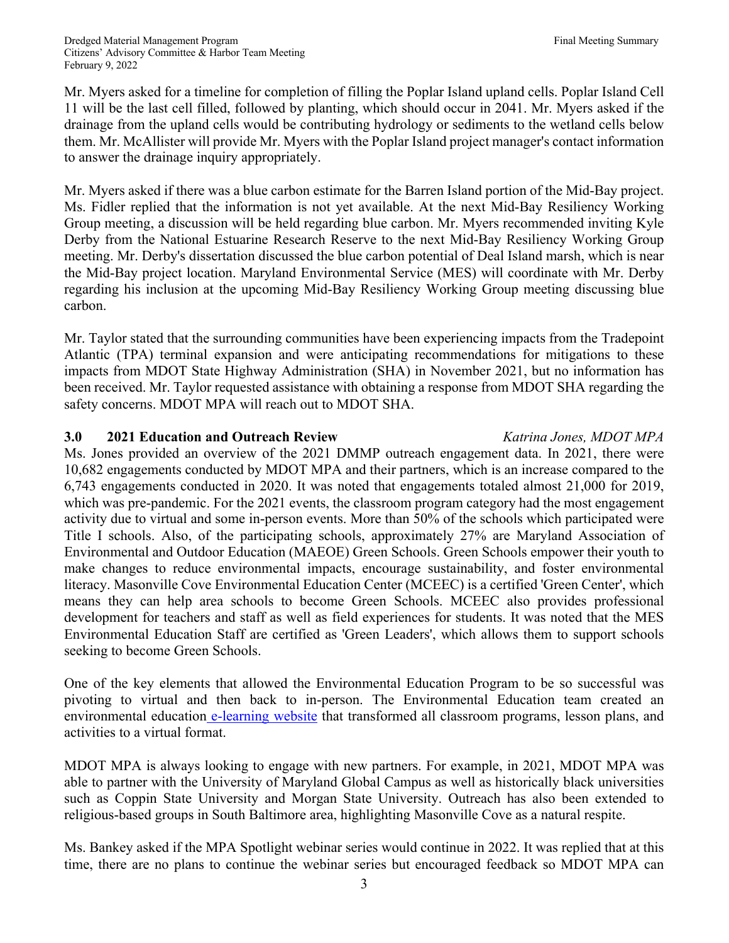Mr. Myers asked for a timeline for completion of filling the Poplar Island upland cells. Poplar Island Cell 11 will be the last cell filled, followed by planting, which should occur in 2041. Mr. Myers asked if the drainage from the upland cells would be contributing hydrology or sediments to the wetland cells below them. Mr. McAllister will provide Mr. Myers with the Poplar Island project manager's contact information to answer the drainage inquiry appropriately.

Mr. Myers asked if there was a blue carbon estimate for the Barren Island portion of the Mid-Bay project. Ms. Fidler replied that the information is not yet available. At the next Mid-Bay Resiliency Working Group meeting, a discussion will be held regarding blue carbon. Mr. Myers recommended inviting Kyle Derby from the National Estuarine Research Reserve to the next Mid-Bay Resiliency Working Group meeting. Mr. Derby's dissertation discussed the blue carbon potential of Deal Island marsh, which is near the Mid-Bay project location. Maryland Environmental Service (MES) will coordinate with Mr. Derby regarding his inclusion at the upcoming Mid-Bay Resiliency Working Group meeting discussing blue carbon.

Mr. Taylor stated that the surrounding communities have been experiencing impacts from the Tradepoint Atlantic (TPA) terminal expansion and were anticipating recommendations for mitigations to these impacts from MDOT State Highway Administration (SHA) in November 2021, but no information has been received. Mr. Taylor requested assistance with obtaining a response from MDOT SHA regarding the safety concerns. MDOT MPA will reach out to MDOT SHA.

## **3.0 2021 Education and Outreach Review** *Katrina Jones, MDOT MPA*

Ms. Jones provided an overview of the 2021 DMMP outreach engagement data. In 2021, there were 10,682 engagements conducted by MDOT MPA and their partners, which is an increase compared to the 6,743 engagements conducted in 2020. It was noted that engagements totaled almost 21,000 for 2019, which was pre-pandemic. For the 2021 events, the classroom program category had the most engagement activity due to virtual and some in-person events. More than 50% of the schools which participated were Title I schools. Also, of the participating schools, approximately 27% are Maryland Association of Environmental and Outdoor Education (MAEOE) Green Schools. Green Schools empower their youth to make changes to reduce environmental impacts, encourage sustainability, and foster environmental literacy. Masonville Cove Environmental Education Center (MCEEC) is a certified 'Green Center', which means they can help area schools to become Green Schools. MCEEC also provides professional development for teachers and staff as well as field experiences for students. It was noted that the MES Environmental Education Staff are certified as 'Green Leaders', which allows them to support schools seeking to become Green Schools.

One of the key elements that allowed the Environmental Education Program to be so successful was pivoting to virtual and then back to in-person. The Environmental Education team created an environmental education e-learning website that transformed all classroom programs, lesson plans, and activities to a virtual format.

MDOT MPA is always looking to engage with new partners. For example, in 2021, MDOT MPA was able to partner with the University of Maryland Global Campus as well as historically black universities such as Coppin State University and Morgan State University. Outreach has also been extended to religious-based groups in South Baltimore area, highlighting Masonville Cove as a natural respite.

Ms. Bankey asked if the MPA Spotlight webinar series would continue in 2022. It was replied that at this time, there are no plans to continue the webinar series but encouraged feedback so MDOT MPA can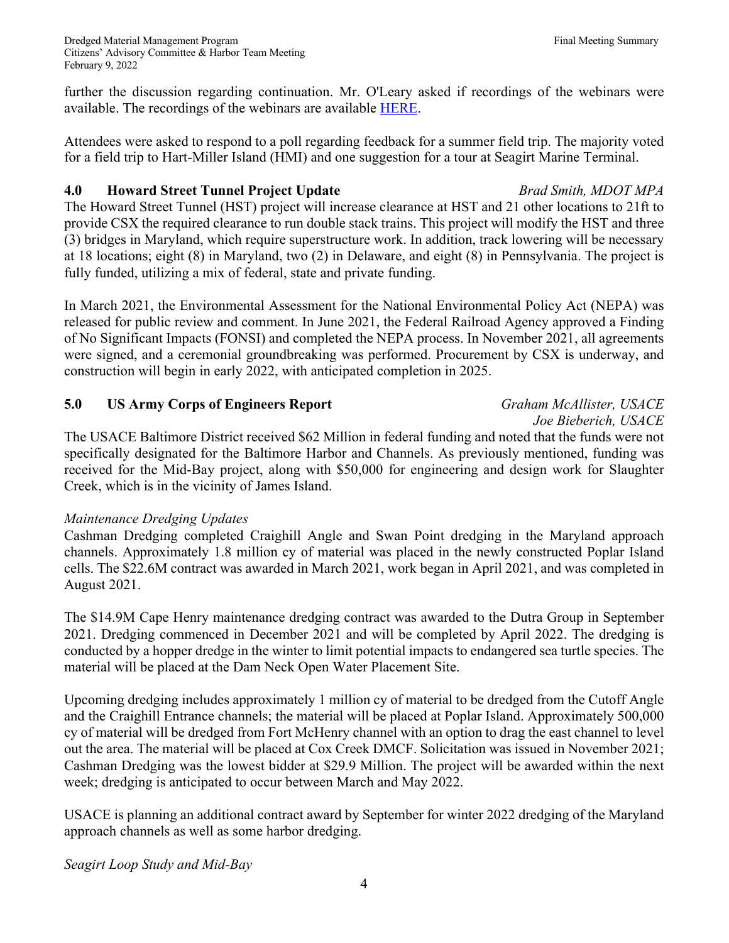further the discussion regarding continuation. Mr. O'Leary asked if recordings of the webinars were available. The recordings of the webinars are available HERE.

Attendees were asked to respond to a poll regarding feedback for a summer field trip. The majority voted for a field trip to Hart-Miller Island (HMI) and one suggestion for a tour at Seagirt Marine Terminal.

# **4.0 Howard Street Tunnel Project Update** *Brad Smith, MDOT MPA*

The Howard Street Tunnel (HST) project will increase clearance at HST and 21 other locations to 21ft to provide CSX the required clearance to run double stack trains. This project will modify the HST and three (3) bridges in Maryland, which require superstructure work. In addition, track lowering will be necessary at 18 locations; eight (8) in Maryland, two (2) in Delaware, and eight (8) in Pennsylvania. The project is fully funded, utilizing a mix of federal, state and private funding.

In March 2021, the Environmental Assessment for the National Environmental Policy Act (NEPA) was released for public review and comment. In June 2021, the Federal Railroad Agency approved a Finding of No Significant Impacts (FONSI) and completed the NEPA process. In November 2021, all agreements were signed, and a ceremonial groundbreaking was performed. Procurement by CSX is underway, and construction will begin in early 2022, with anticipated completion in 2025.

# **5.0 US Army Corps of Engineers Report** *Graham McAllister, USACE*

*Joe Bieberich, USACE*

The USACE Baltimore District received \$62 Million in federal funding and noted that the funds were not specifically designated for the Baltimore Harbor and Channels. As previously mentioned, funding was received for the Mid-Bay project, along with \$50,000 for engineering and design work for Slaughter Creek, which is in the vicinity of James Island.

## *Maintenance Dredging Updates*

Cashman Dredging completed Craighill Angle and Swan Point dredging in the Maryland approach channels. Approximately 1.8 million cy of material was placed in the newly constructed Poplar Island cells. The \$22.6M contract was awarded in March 2021, work began in April 2021, and was completed in August 2021.

The \$14.9M Cape Henry maintenance dredging contract was awarded to the Dutra Group in September 2021. Dredging commenced in December 2021 and will be completed by April 2022. The dredging is conducted by a hopper dredge in the winter to limit potential impacts to endangered sea turtle species. The material will be placed at the Dam Neck Open Water Placement Site.

Upcoming dredging includes approximately 1 million cy of material to be dredged from the Cutoff Angle and the Craighill Entrance channels; the material will be placed at Poplar Island. Approximately 500,000 cy of material will be dredged from Fort McHenry channel with an option to drag the east channel to level out the area. The material will be placed at Cox Creek DMCF. Solicitation was issued in November 2021; Cashman Dredging was the lowest bidder at \$29.9 Million. The project will be awarded within the next week; dredging is anticipated to occur between March and May 2022.

USACE is planning an additional contract award by September for winter 2022 dredging of the Maryland approach channels as well as some harbor dredging.

*Seagirt Loop Study and Mid-Bay*